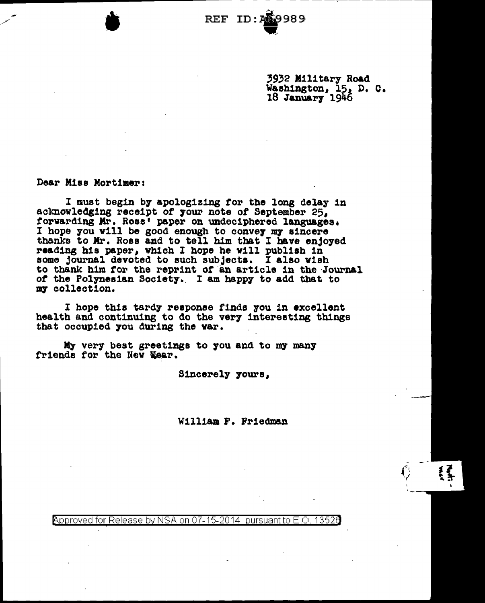REF ID •

> 3932 Military Road Washington, 15, D. C. 18 January 1946

> > $\epsilon$  - $\tilde{\left\langle \right\rangle }$

Dear Miss Mortimer:

 $\frac{1}{2}$ 

I must begin by apologizing for the long delay in acknowledging receipt of your note of September 25. forwarding Mr. Ross<sup>†</sup> paper on undec1phered languages.<br>I hope you will be good enough to convey my sincere thanks to Mr. Ross and to tell him that I have enjoyed reading his paper, which I hope he will publish in some journal devoted to such subjects. I also wish to thank him for the reprint of an article in the Journal *ot* the Polynesian Society.. I am bapp7 to add that to my collection.

I hope this tardy reaponse finds 7ou in excellent health and continuing to do the very interesting things that occupied 7ou during the var.

My very best greetings to you and to my many friends for the New Year.

Sincerely yours,

William F. Friedman

Approved for Release by NSA on 07-15-2014 pursuant to E.O. 13526